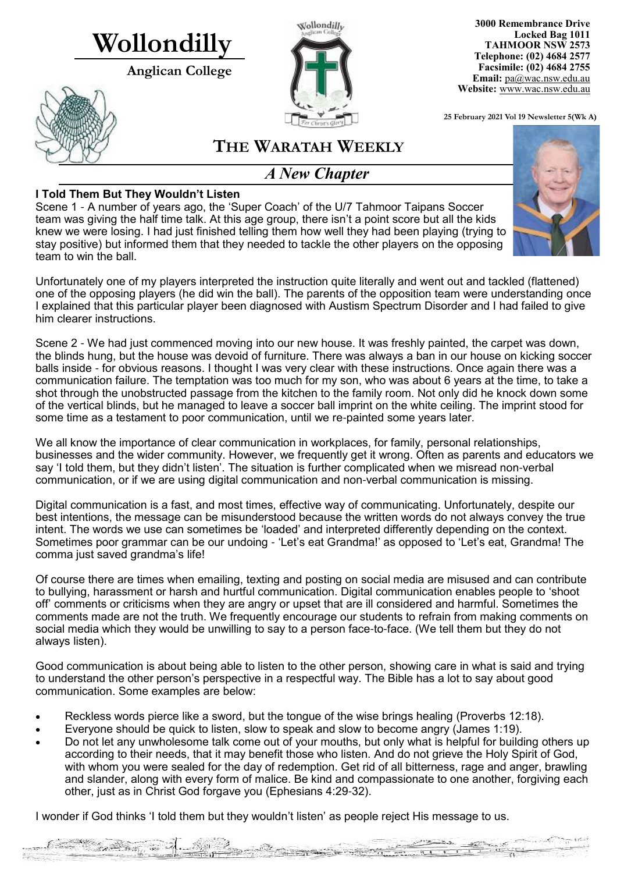# **Wollondilly**

**Anglican College** 





**3000 Remembrance Drive Locked Bag 1011 TAHMOOR NSW 2573 Telephone: (02) 4684 2577 Facsimile: (02) 4684 2755 Email:** [pa@wac.nsw.edu.au](mailto:pa@wac.nsw.edu.au) **Website:** www.wac.nsw.edu.au

**25 February 2021 Vol 19 Newsletter 5(Wk A)** 

 $22 - 302 = 10$ 

 $2 - 2 - 2$  $...$ itan

### **THE WARATAH WEEKLY**

### *A New Chapter*

#### **I Told Them But They Wouldn't Listen**

Scene 1 - A number of years ago, the 'Super Coach' of the U/7 Tahmoor Taipans Soccer team was giving the half time talk. At this age group, there isn't a point score but all the kids knew we were losing. I had just finished telling them how well they had been playing (trying to stay positive) but informed them that they needed to tackle the other players on the opposing team to win the ball.



Scene 2 - We had just commenced moving into our new house. It was freshly painted, the carpet was down, the blinds hung, but the house was devoid of furniture. There was always a ban in our house on kicking soccer balls inside - for obvious reasons. I thought I was very clear with these instructions. Once again there was a communication failure. The temptation was too much for my son, who was about 6 years at the time, to take a shot through the unobstructed passage from the kitchen to the family room. Not only did he knock down some of the vertical blinds, but he managed to leave a soccer ball imprint on the white ceiling. The imprint stood for some time as a testament to poor communication, until we re-painted some years later.

We all know the importance of clear communication in workplaces, for family, personal relationships, businesses and the wider community. However, we frequently get it wrong. Often as parents and educators we say 'I told them, but they didn't listen'. The situation is further complicated when we misread non-verbal communication, or if we are using digital communication and non-verbal communication is missing.

Digital communication is a fast, and most times, effective way of communicating. Unfortunately, despite our best intentions, the message can be misunderstood because the written words do not always convey the true intent. The words we use can sometimes be 'loaded' and interpreted differently depending on the context. Sometimes poor grammar can be our undoing - 'Let's eat Grandma!' as opposed to 'Let's eat, Grandma! The comma just saved grandma's life!

Of course there are times when emailing, texting and posting on social media are misused and can contribute to bullying, harassment or harsh and hurtful communication. Digital communication enables people to 'shoot off' comments or criticisms when they are angry or upset that are ill considered and harmful. Sometimes the comments made are not the truth. We frequently encourage our students to refrain from making comments on social media which they would be unwilling to say to a person face-to-face. (We tell them but they do not always listen).

Good communication is about being able to listen to the other person, showing care in what is said and trying to understand the other person's perspective in a respectful way. The Bible has a lot to say about good communication. Some examples are below:

- Reckless words pierce like a sword, but the tongue of the wise brings healing [\(Proverbs 12:18\)](http://biblia.com/bible/esv/Proverbs%2012.18).
- Everyone should be quick to listen, slow to speak and slow to become angry ([James 1:19\)](http://biblia.com/bible/esv/James%201.19).
- Do not let any unwholesome talk come out of your mouths, but only what is helpful for building others up according to their needs, that it may benefit those who listen. And do not grieve the Holy Spirit of God, with whom you were sealed for the day of redemption. Get rid of all bitterness, rage and anger, brawling and slander, along with every form of malice. Be kind and compassionate to one another, forgiving each other, just as in Christ God forgave you [\(Ephesians 4:29](http://biblia.com/bible/esv/Ephesians%204.29-32)-32).

I wonder if God thinks 'I told them but they wouldn't listen' as people reject His message to us.

Communication of the contract of the communication

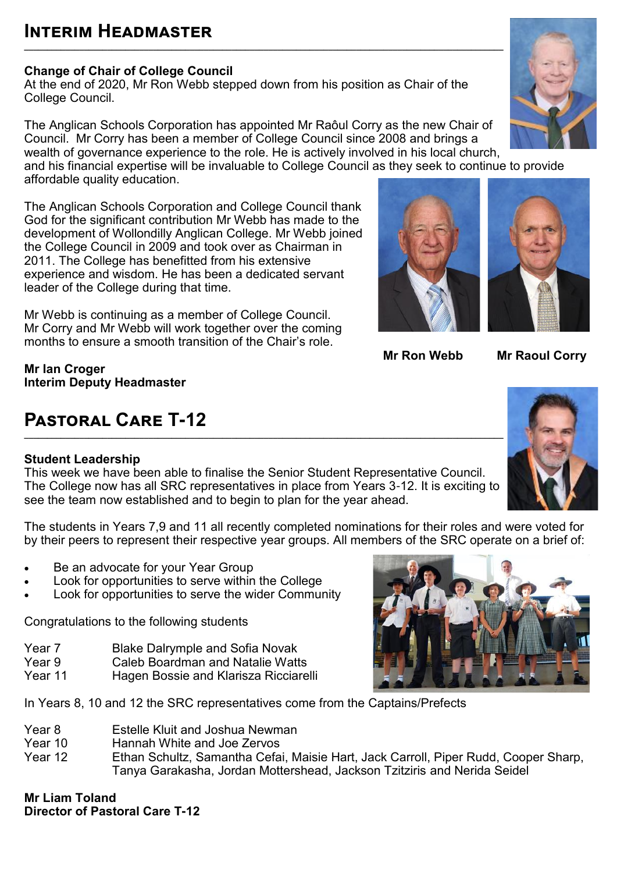## **Interim Headmaster**

#### **Change of Chair of College Council**

At the end of 2020, Mr Ron Webb stepped down from his position as Chair of the College Council.

The Anglican Schools Corporation has appointed Mr Raôul Corry as the new Chair of Council. Mr Corry has been a member of College Council since 2008 and brings a wealth of governance experience to the role. He is actively involved in his local church, and his financial expertise will be invaluable to College Council as they seek to continue to provide

**\_\_\_\_\_\_\_\_\_\_\_\_\_\_\_\_\_\_\_\_\_\_\_\_\_\_\_\_\_\_\_\_\_\_\_\_\_\_\_\_\_\_\_\_\_\_\_\_\_\_\_\_\_\_\_\_\_\_\_\_\_\_\_\_\_\_\_\_\_\_\_\_\_\_\_\_\_\_\_\_\_\_\_\_\_\_\_\_\_\_\_\_\_\_\_\_\_\_\_\_\_\_\_\_**

affordable quality education.

The Anglican Schools Corporation and College Council thank God for the significant contribution Mr Webb has made to the development of Wollondilly Anglican College. Mr Webb joined the College Council in 2009 and took over as Chairman in 2011. The College has benefitted from his extensive experience and wisdom. He has been a dedicated servant leader of the College during that time.

Mr Webb is continuing as a member of College Council. Mr Corry and Mr Webb will work together over the coming months to ensure a smooth transition of the Chair's role.

**Mr Ian Croger Interim Deputy Headmaster** 

## **Pastoral Care T-12**

#### **Student Leadership**

This week we have been able to finalise the Senior Student Representative Council. The College now has all SRC representatives in place from Years 3-12. It is exciting to see the team now established and to begin to plan for the year ahead.

The students in Years 7,9 and 11 all recently completed nominations for their roles and were voted for by their peers to represent their respective year groups. All members of the SRC operate on a brief of:

- Be an advocate for your Year Group
- Look for opportunities to serve within the College
- Look for opportunities to serve the wider Community

Congratulations to the following students

- Year 7 Blake Dalrymple and Sofia Novak
- Year 9 Caleb Boardman and Natalie Watts<br>Year 11 Hagen Bossie and Klarisza Ricciare
- Hagen Bossie and Klarisza Ricciarelli

In Years 8, 10 and 12 the SRC representatives come from the Captains/Prefects

- Year 8 Estelle Kluit and Joshua Newman<br>Year 10 Hannah White and Joe Zervos
- **Year 10** Hannah White and Joe Zervos<br>Year 12 Fihan Schultz, Samantha Cefa
- Ethan Schultz, Samantha Cefai, Maisie Hart, Jack Carroll, Piper Rudd, Cooper Sharp, Tanya Garakasha, Jordan Mottershead, Jackson Tzitziris and Nerida Seidel

**Mr Liam Toland Director of Pastoral Care T-12**

# **\_\_\_\_\_\_\_\_\_\_\_\_\_\_\_\_\_\_\_\_\_\_\_\_\_\_\_\_\_\_\_\_\_\_\_\_\_\_\_\_\_\_\_\_\_\_\_\_\_\_\_\_\_\_\_\_\_\_\_\_\_\_\_\_\_\_\_\_\_\_\_\_\_\_\_\_\_\_\_\_\_\_\_\_\_\_\_\_\_\_\_\_\_\_\_\_\_\_\_\_\_\_\_\_**



**Mr Ron Webb Mr Raoul Corry**





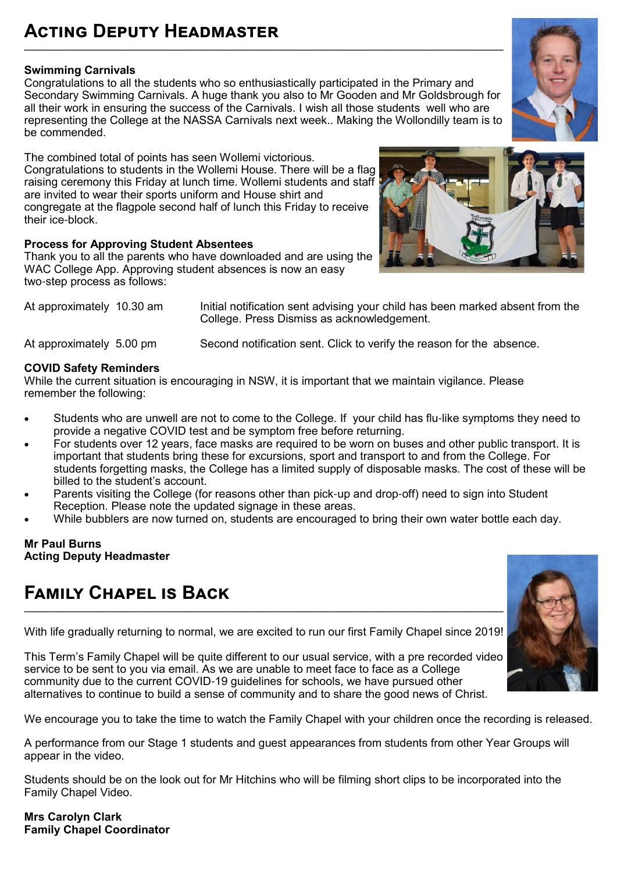#### **Acting Deputy Headmaster \_\_\_\_\_\_\_\_\_\_\_\_\_\_\_\_\_\_\_\_\_\_\_\_\_\_\_\_\_\_\_\_\_\_\_\_\_\_\_\_\_\_\_\_\_\_\_\_\_\_\_\_\_\_\_\_\_\_\_\_\_\_\_\_\_\_\_\_\_\_\_\_\_\_\_\_\_\_\_\_\_\_\_\_\_\_\_\_\_\_\_\_\_\_\_\_\_\_\_\_\_\_\_\_**

#### **Swimming Carnivals**

Congratulations to all the students who so enthusiastically participated in the Primary and Secondary Swimming Carnivals. A huge thank you also to Mr Gooden and Mr Goldsbrough for all their work in ensuring the success of the Carnivals. I wish all those students well who are representing the College at the NASSA Carnivals next week.. Making the Wollondilly team is to be commended.

The combined total of points has seen Wollemi victorious. Congratulations to students in the Wollemi House. There will be a flag raising ceremony this Friday at lunch time. Wollemi students and staff are invited to wear their sports uniform and House shirt and congregate at the flagpole second half of lunch this Friday to receive their ice-block.

#### **Process for Approving Student Absentees**

Thank you to all the parents who have downloaded and are using the WAC College App. Approving student absences is now an easy two-step process as follows:

At approximately 10.30 am Initial notification sent advising your child has been marked absent from the College. Press Dismiss as acknowledgement.

At approximately 5.00 pm Second notification sent. Click to verify the reason for the absence.

#### **COVID Safety Reminders**

While the current situation is encouraging in NSW, it is important that we maintain vigilance. Please remember the following:

- Students who are unwell are not to come to the College. If your child has flu-like symptoms they need to provide a negative COVID test and be symptom free before returning.
- For students over 12 years, face masks are required to be worn on buses and other public transport. It is important that students bring these for excursions, sport and transport to and from the College. For students forgetting masks, the College has a limited supply of disposable masks. The cost of these will be billed to the student's account.
- Parents visiting the College (for reasons other than pick-up and drop-off) need to sign into Student Reception. Please note the updated signage in these areas.
- While bubblers are now turned on, students are encouraged to bring their own water bottle each day.

#### **Mr Paul Burns Acting Deputy Headmaster**

### **Family Chapel is Back**

With life gradually returning to normal, we are excited to run our first Family Chapel since 2019!

**\_\_\_\_\_\_\_\_\_\_\_\_\_\_\_\_\_\_\_\_\_\_\_\_\_\_\_\_\_\_\_\_\_\_\_\_\_\_\_\_\_\_\_\_\_\_\_\_\_\_\_\_\_\_\_\_\_\_\_\_\_\_\_\_\_\_\_\_\_\_\_\_\_\_\_\_\_\_\_\_\_\_\_\_\_\_\_\_\_\_\_\_\_\_\_\_\_\_\_\_\_\_\_\_**

This Term's Family Chapel will be quite different to our usual service, with a pre recorded video service to be sent to you via email. As we are unable to meet face to face as a College community due to the current COVID-19 guidelines for schools, we have pursued other alternatives to continue to build a sense of community and to share the good news of Christ.

We encourage you to take the time to watch the Family Chapel with your children once the recording is released.

A performance from our Stage 1 students and guest appearances from students from other Year Groups will appear in the video.

Students should be on the look out for Mr Hitchins who will be filming short clips to be incorporated into the Family Chapel Video.

**Mrs Carolyn Clark Family Chapel Coordinator** 



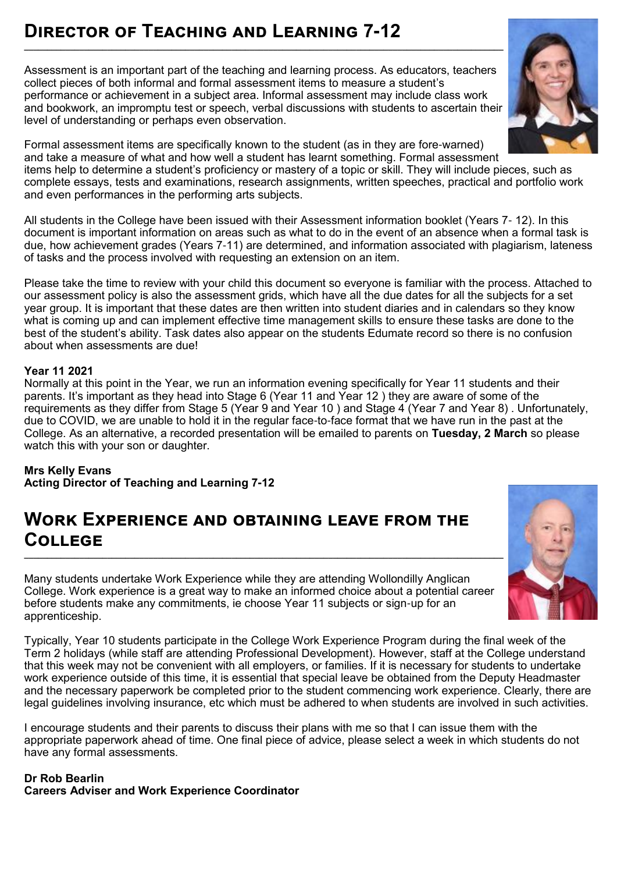### **Director of Teaching and Learning 7-12**

Assessment is an important part of the teaching and learning process. As educators, teachers collect pieces of both informal and formal assessment items to measure a student's performance or achievement in a subject area. Informal assessment may include class work and bookwork, an impromptu test or speech, verbal discussions with students to ascertain their level of understanding or perhaps even observation.

**\_\_\_\_\_\_\_\_\_\_\_\_\_\_\_\_\_\_\_\_\_\_\_\_\_\_\_\_\_\_\_\_\_\_\_\_\_\_\_\_\_\_\_\_\_\_\_\_\_\_\_\_\_\_\_\_\_\_\_\_\_\_\_\_\_\_\_\_\_\_\_\_\_\_\_\_\_\_\_\_\_\_\_\_\_\_\_\_\_\_\_\_\_\_\_\_\_\_\_\_\_\_\_\_**

Formal assessment items are specifically known to the student (as in they are fore-warned) and take a measure of what and how well a student has learnt something. Formal assessment items help to determine a student's proficiency or mastery of a topic or skill. They will include pieces, such as complete essays, tests and examinations, research assignments, written speeches, practical and portfolio work and even performances in the performing arts subjects.

All students in the College have been issued with their Assessment information booklet (Years 7- 12). In this document is important information on areas such as what to do in the event of an absence when a formal task is due, how achievement grades (Years 7-11) are determined, and information associated with plagiarism, lateness of tasks and the process involved with requesting an extension on an item.

Please take the time to review with your child this document so everyone is familiar with the process. Attached to our assessment policy is also the assessment grids, which have all the due dates for all the subjects for a set year group. It is important that these dates are then written into student diaries and in calendars so they know what is coming up and can implement effective time management skills to ensure these tasks are done to the best of the student's ability. Task dates also appear on the students Edumate record so there is no confusion about when assessments are due!

#### **Year 11 2021**

Normally at this point in the Year, we run an information evening specifically for Year 11 students and their parents. It's important as they head into Stage 6 (Year 11 and Year 12 ) they are aware of some of the requirements as they differ from Stage 5 (Year 9 and Year 10 ) and Stage 4 (Year 7 and Year 8) . Unfortunately, due to COVID, we are unable to hold it in the regular face-to-face format that we have run in the past at the College. As an alternative, a recorded presentation will be emailed to parents on **Tuesday, 2 March** so please watch this with your son or daughter.

**Mrs Kelly Evans Acting Director of Teaching and Learning 7-12** 

### **Work Experience and obtaining leave from the College**

Many students undertake Work Experience while they are attending Wollondilly Anglican College. Work experience is a great way to make an informed choice about a potential career before students make any commitments, ie choose Year 11 subjects or sign-up for an apprenticeship.

Typically, Year 10 students participate in the College Work Experience Program during the final week of the Term 2 holidays (while staff are attending Professional Development). However, staff at the College understand that this week may not be convenient with all employers, or families. If it is necessary for students to undertake work experience outside of this time, it is essential that special leave be obtained from the Deputy Headmaster and the necessary paperwork be completed prior to the student commencing work experience. Clearly, there are legal guidelines involving insurance, etc which must be adhered to when students are involved in such activities.

I encourage students and their parents to discuss their plans with me so that I can issue them with the appropriate paperwork ahead of time. One final piece of advice, please select a week in which students do not have any formal assessments.

#### **Dr Rob Bearlin Careers Adviser and Work Experience Coordinator**



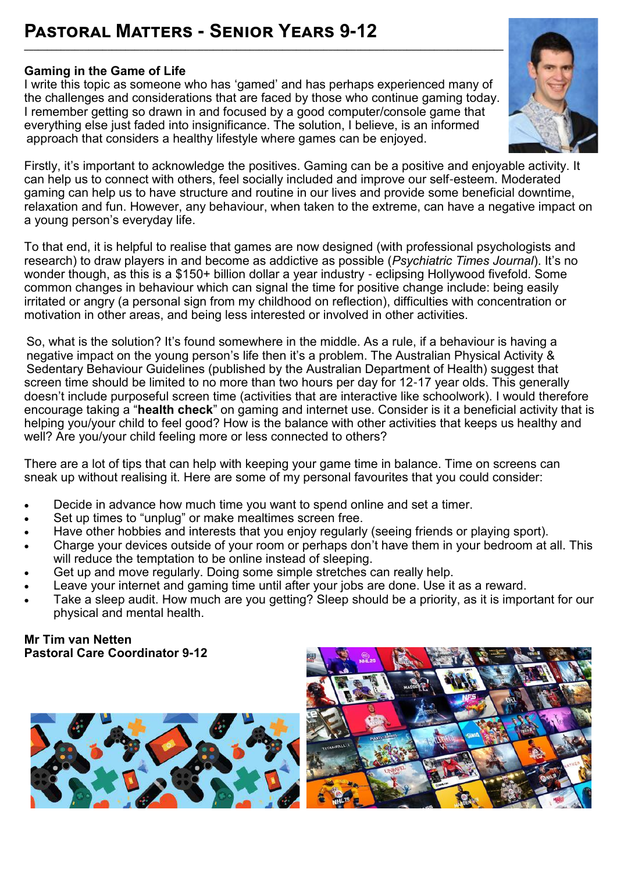## **Pastoral Matters - Senior Years 9-12**

#### **Gaming in the Game of Life**

I write this topic as someone who has 'gamed' and has perhaps experienced many of the challenges and considerations that are faced by those who continue gaming today. I remember getting so drawn in and focused by a good computer/console game that everything else just faded into insignificance. The solution, I believe, is an informed approach that considers a healthy lifestyle where games can be enjoyed.

**\_\_\_\_\_\_\_\_\_\_\_\_\_\_\_\_\_\_\_\_\_\_\_\_\_\_\_\_\_\_\_\_\_\_\_\_\_\_\_\_\_\_\_\_\_\_\_\_\_\_\_\_\_\_\_\_\_\_\_\_\_\_\_\_\_\_\_\_\_\_\_\_\_\_\_\_\_\_\_\_\_\_\_\_\_\_\_\_\_\_\_\_\_\_\_\_\_\_\_\_\_\_\_\_**



Firstly, it's important to acknowledge the positives. Gaming can be a positive and enjoyable activity. It can help us to connect with others, feel socially included and improve our self-esteem. Moderated gaming can help us to have structure and routine in our lives and provide some beneficial downtime, relaxation and fun. However, any behaviour, when taken to the extreme, can have a negative impact on a young person's everyday life.

To that end, it is helpful to realise that games are now designed (with professional psychologists and research) to draw players in and become as addictive as possible (*Psychiatric Times Journal*). It's no wonder though, as this is a \$150+ billion dollar a year industry - eclipsing Hollywood fivefold. Some common changes in behaviour which can signal the time for positive change include: being easily irritated or angry (a personal sign from my childhood on reflection), difficulties with concentration or motivation in other areas, and being less interested or involved in other activities.

So, what is the solution? It's found somewhere in the middle. As a rule, if a behaviour is having a negative impact on the young person's life then it's a problem. The Australian Physical Activity & Sedentary Behaviour Guidelines (published by the Australian Department of Health) suggest that screen time should be limited to no more than two hours per day for 12-17 year olds. This generally doesn't include purposeful screen time (activities that are interactive like schoolwork). I would therefore encourage taking a "**health check**" on gaming and internet use. Consider is it a beneficial activity that is helping you/your child to feel good? How is the balance with other activities that keeps us healthy and well? Are you/your child feeling more or less connected to others?

There are a lot of tips that can help with keeping your game time in balance. Time on screens can sneak up without realising it. Here are some of my personal favourites that you could consider:

- Decide in advance how much time you want to spend online and set a timer.
- Set up times to "unplug" or make mealtimes screen free.
- Have other hobbies and interests that you enjoy regularly (seeing friends or playing sport).
- Charge your devices outside of your room or perhaps don't have them in your bedroom at all. This will reduce the temptation to be online instead of sleeping.
- Get up and move regularly. Doing some simple stretches can really help.
- Leave your internet and gaming time until after your jobs are done. Use it as a reward.
- Take a sleep audit. How much are you getting? Sleep should be a priority, as it is important for our physical and mental health.

#### **Mr Tim van Netten Pastoral Care Coordinator 9-12**



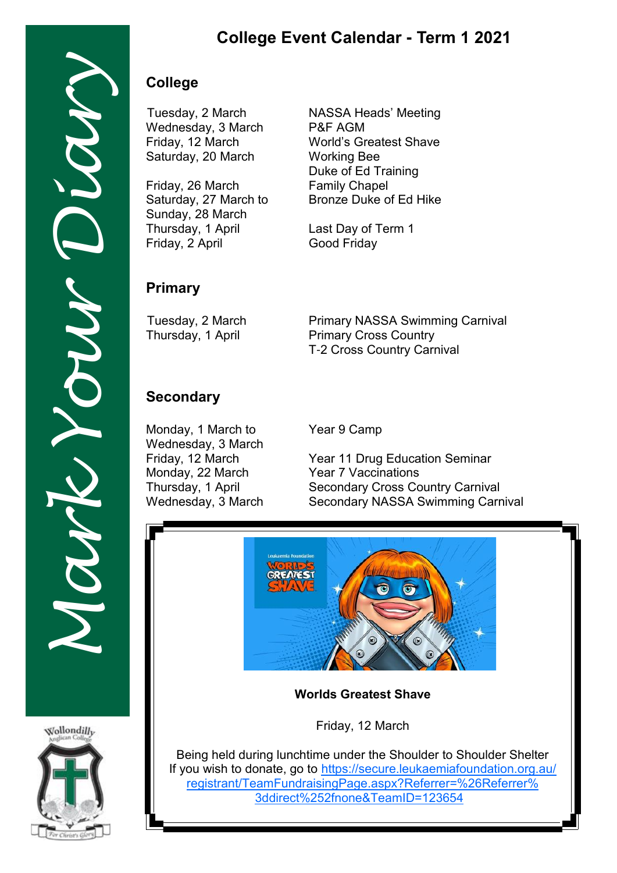### **College Event Calendar - Term 1 2021**

### **College**

Wednesday, 3 March P&F AGM Saturday, 20 March Working Bee

Friday, 26 March Family Chapel Sunday, 28 March Thursday, 1 April Last Day of Term 1 Friday, 2 April Good Friday

Tuesday, 2 March NASSA Heads' Meeting Friday, 12 March World's Greatest Shave Duke of Ed Training Saturday, 27 March to Bronze Duke of Ed Hike

#### **Primary**

Tuesday, 2 March Primary NASSA Swimming Carnival<br>Thursday, 1 April Primary Cross Country **Primary Cross Country** T-2 Cross Country Carnival

### **Secondary**

Monday, 1 March to Year 9 Camp Wednesday, 3 March Monday, 22 March

Friday, 12 March Year 11 Drug Education Seminar<br>Monday, 22 March Year 7 Vaccinations Thursday, 1 April Secondary Cross Country Carnival Wednesday, 3 March Secondary NASSA Swimming Carnival



**Worlds Greatest Shave**

Friday, 12 March

Being held during lunchtime under the Shoulder to Shoulder Shelter If you wish to donate, go to [https://secure.leukaemiafoundation.org.au/](https://secure.leukaemiafoundation.org.au/registrant/TeamFundraisingPage.aspx?Referrer=%26Referrer%3ddirect%252fnone&TeamID=123654) [registrant/TeamFundraisingPage.aspx?Referrer=%26Referrer%](https://secure.leukaemiafoundation.org.au/registrant/TeamFundraisingPage.aspx?Referrer=%26Referrer%3ddirect%252fnone&TeamID=123654) [3ddirect%252fnone&TeamID=123654](https://secure.leukaemiafoundation.org.au/registrant/TeamFundraisingPage.aspx?Referrer=%26Referrer%3ddirect%252fnone&TeamID=123654)



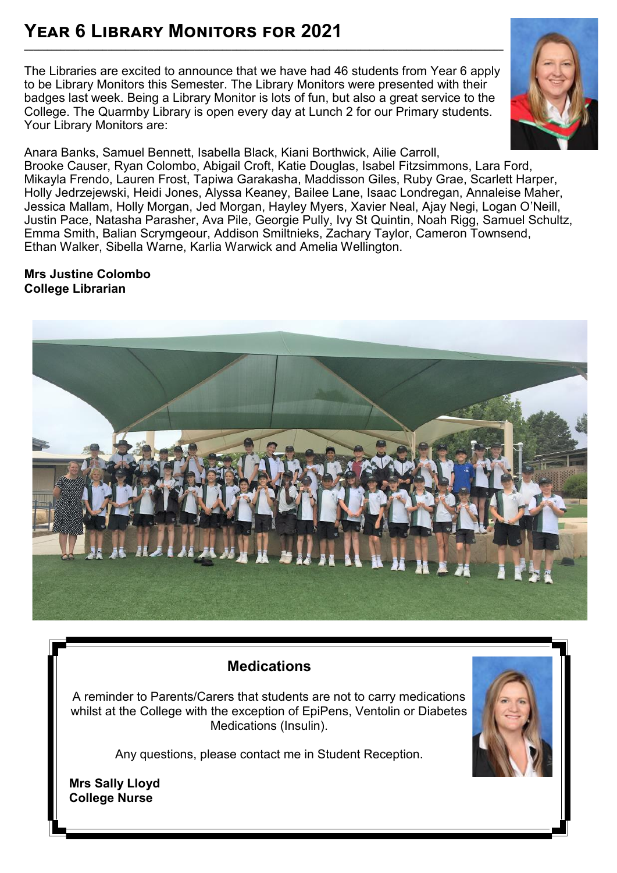#### **Year 6 Library Monitors for 2021 \_\_\_\_\_\_\_\_\_\_\_\_\_\_\_\_\_\_\_\_\_\_\_\_\_\_\_\_\_\_\_\_\_\_\_\_\_\_\_\_\_\_\_\_\_\_\_\_\_\_\_\_\_\_\_\_\_\_\_\_\_\_\_\_\_\_\_\_\_\_\_\_\_\_\_\_\_\_\_\_\_\_\_\_\_\_\_\_\_\_\_\_\_\_\_\_\_\_\_\_\_\_\_\_**

The Libraries are excited to announce that we have had 46 students from Year 6 apply to be Library Monitors this Semester. The Library Monitors were presented with their badges last week. Being a Library Monitor is lots of fun, but also a great service to the College. The Quarmby Library is open every day at Lunch 2 for our Primary students. Your Library Monitors are:



#### **Mrs Justine Colombo College Librarian**



### **Medications**

A reminder to Parents/Carers that students are not to carry medications whilst at the College with the exception of EpiPens, Ventolin or Diabetes Medications (Insulin).

Any questions, please contact me in Student Reception.



**Mrs Sally Lloyd College Nurse**

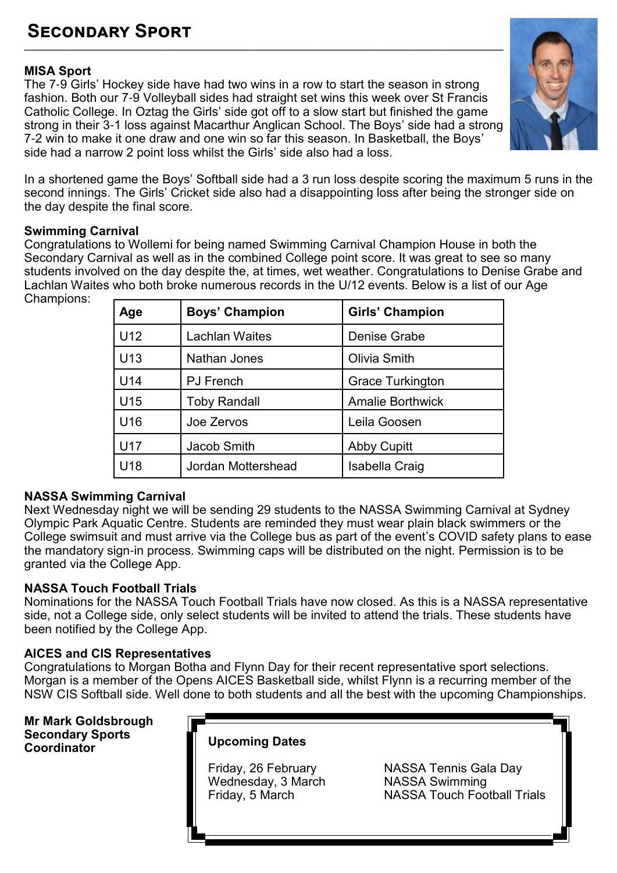#### **Secondary Sport \_\_\_\_\_\_\_\_\_\_\_\_\_\_\_\_\_\_\_\_\_\_\_\_\_\_\_\_\_\_\_\_\_\_\_\_\_\_\_\_\_\_\_\_\_\_\_\_\_\_\_\_\_\_\_\_\_\_\_\_\_\_\_\_\_\_\_\_\_\_\_\_\_\_\_\_\_\_\_\_\_\_\_\_\_\_\_\_\_\_\_\_\_\_\_\_\_\_\_\_\_\_\_\_**

#### **MISA Sport**

The 7-9 Girls' Hockey side have had two wins in a row to start the season in strong fashion. Both our 7-9 Volleyball sides had straight set wins this week over St Francis Catholic College. In Oztag the Girls' side got off to a slow start but finished the game strong in their 3-1 loss against Macarthur Anglican School. The Boys' side had a strong 7-2 win to make it one draw and one win so far this season. In Basketball, the Boys' side had a narrow 2 point loss whilst the Girls' side also had a loss.



In a shortened game the Boys' Softball side had a 3 run loss despite scoring the maximum 5 runs in the second innings. The Girls' Cricket side also had a disappointing loss after being the stronger side on the day despite the final score.

#### **Swimming Carnival**

Congratulations to Wollemi for being named Swimming Carnival Champion House in both the Secondary Carnival as well as in the combined College point score. It was great to see so many students involved on the day despite the, at times, wet weather. Congratulations to Denise Grabe and Lachlan Waites who both broke numerous records in the U/12 events. Below is a list of our Age Champions:

| Age             | <b>Boys' Champion</b> | <b>Girls' Champion</b>  |
|-----------------|-----------------------|-------------------------|
| U <sub>12</sub> | <b>Lachlan Waites</b> | Denise Grabe            |
| U13             | Nathan Jones          | Olivia Smith            |
| U14             | <b>PJ</b> French      | <b>Grace Turkington</b> |
| U <sub>15</sub> | <b>Toby Randall</b>   | <b>Amalie Borthwick</b> |
| U <sub>16</sub> | Joe Zervos            | Leila Goosen            |
| U <sub>17</sub> | Jacob Smith           | <b>Abby Cupitt</b>      |
| U <sub>18</sub> | Jordan Mottershead    | Isabella Craig          |

#### **NASSA Swimming Carnival**

Next Wednesday night we will be sending 29 students to the NASSA Swimming Carnival at Sydney Olympic Park Aquatic Centre. Students are reminded they must wear plain black swimmers or the College swimsuit and must arrive via the College bus as part of the event's COVID safety plans to ease the mandatory sign-in process. Swimming caps will be distributed on the night. Permission is to be granted via the College App.

#### **NASSA Touch Football Trials**

Nominations for the NASSA Touch Football Trials have now closed. As this is a NASSA representative side, not a College side, only select students will be invited to attend the trials. These students have been notified by the College App.

#### **AICES and CIS Representatives**

Congratulations to Morgan Botha and Flynn Day for their recent representative sport selections. Morgan is a member of the Opens AICES Basketball side, whilst Flynn is a recurring member of the NSW CIS Softball side. Well done to both students and all the best with the upcoming Championships.

**Mr Mark Goldsbrough Secondary Sports** 

#### **Upcoming Dates**

Wednesday, 3 March

Friday, 26 February NASSA Tennis Gala Day<br>Wednesday, 3 March NASSA Swimming Friday, 5 March NASSA Touch Football Trials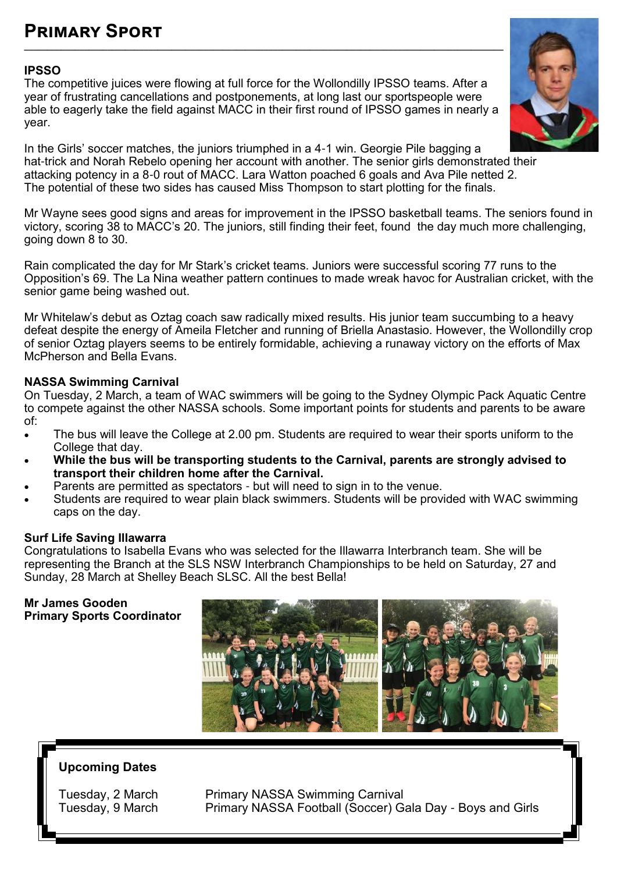#### **Primary Sport \_\_\_\_\_\_\_\_\_\_\_\_\_\_\_\_\_\_\_\_\_\_\_\_\_\_\_\_\_\_\_\_\_\_\_\_\_\_\_\_\_\_\_\_\_\_\_\_\_\_\_\_\_\_\_\_\_\_\_\_\_\_\_\_\_\_\_\_\_\_\_\_\_\_\_\_\_\_\_\_\_\_\_\_\_\_\_\_\_\_\_\_\_\_\_\_\_\_\_\_\_\_\_\_**

#### **IPSSO**

The competitive juices were flowing at full force for the Wollondilly IPSSO teams. After a year of frustrating cancellations and postponements, at long last our sportspeople were able to eagerly take the field against MACC in their first round of IPSSO games in nearly a year.



In the Girls' soccer matches, the juniors triumphed in a 4-1 win. Georgie Pile bagging a hat-trick and Norah Rebelo opening her account with another. The senior girls demonstrated their attacking potency in a 8-0 rout of MACC. Lara Watton poached 6 goals and Ava Pile netted 2. The potential of these two sides has caused Miss Thompson to start plotting for the finals.

Mr Wayne sees good signs and areas for improvement in the IPSSO basketball teams. The seniors found in victory, scoring 38 to MACC's 20. The juniors, still finding their feet, found the day much more challenging, going down 8 to 30.

Rain complicated the day for Mr Stark's cricket teams. Juniors were successful scoring 77 runs to the Opposition's 69. The La Nina weather pattern continues to made wreak havoc for Australian cricket, with the senior game being washed out.

Mr Whitelaw's debut as Oztag coach saw radically mixed results. His junior team succumbing to a heavy defeat despite the energy of Ameila Fletcher and running of Briella Anastasio. However, the Wollondilly crop of senior Oztag players seems to be entirely formidable, achieving a runaway victory on the efforts of Max McPherson and Bella Evans.

#### **NASSA Swimming Carnival**

On Tuesday, 2 March, a team of WAC swimmers will be going to the Sydney Olympic Pack Aquatic Centre to compete against the other NASSA schools. Some important points for students and parents to be aware of:

- The bus will leave the College at 2.00 pm. Students are required to wear their sports uniform to the College that day.
- **While the bus will be transporting students to the Carnival, parents are strongly advised to transport their children home after the Carnival.**
- Parents are permitted as spectators but will need to sign in to the venue.
- Students are required to wear plain black swimmers. Students will be provided with WAC swimming caps on the day.

#### **Surf Life Saving Illawarra**

Congratulations to Isabella Evans who was selected for the Illawarra Interbranch team. She will be representing the Branch at the SLS NSW Interbranch Championships to be held on Saturday, 27 and Sunday, 28 March at Shelley Beach SLSC. All the best Bella!

**Mr James Gooden Primary Sports Coordinator**



#### **Upcoming Dates**

Tuesday, 2 March Primary NASSA Swimming Carnival<br>Tuesday, 9 March Primary NASSA Football (Soccer) G Primary NASSA Football (Soccer) Gala Day - Boys and Girls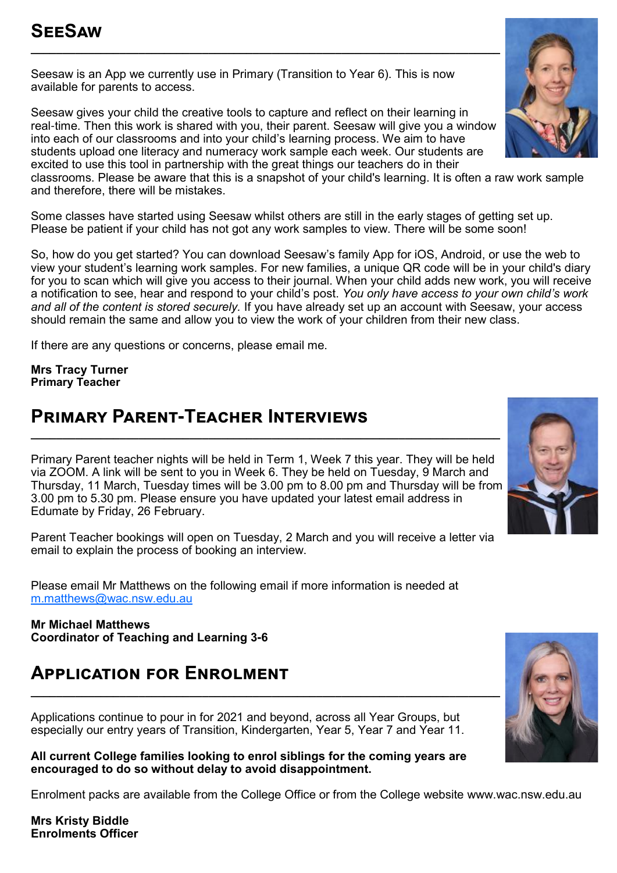Seesaw is an App we currently use in Primary (Transition to Year 6). This is now available for parents to access.

Seesaw gives your child the creative tools to capture and reflect on their learning in real-time. Then this work is shared with you, their parent. Seesaw will give you a window into each of our classrooms and into your child's learning process. We aim to have students upload one literacy and numeracy work sample each week. Our students are excited to use this tool in partnership with the great things our teachers do in their

classrooms. Please be aware that this is a snapshot of your child's learning. It is often a raw work sample and therefore, there will be mistakes.

Some classes have started using Seesaw whilst others are still in the early stages of getting set up. Please be patient if your child has not got any work samples to view. There will be some soon!

So, how do you get started? You can download Seesaw's family App for iOS, Android, or use the web to view your student's learning work samples. For new families, a unique QR code will be in your child's diary for you to scan which will give you access to their journal. When your child adds new work, you will receive a notification to see, hear and respond to your child's post. *You only have access to your own child's work and all of the content is stored securely.* If you have already set up an account with Seesaw, your access should remain the same and allow you to view the work of your children from their new class.

If there are any questions or concerns, please email me.

**Mrs Tracy Turner Primary Teacher**

### **Primary Parent-Teacher Interviews**

Primary Parent teacher nights will be held in Term 1, Week 7 this year. They will be held via ZOOM. A link will be sent to you in Week 6. They be held on Tuesday, 9 March and Thursday, 11 March, Tuesday times will be 3.00 pm to 8.00 pm and Thursday will be from 3.00 pm to 5.30 pm. Please ensure you have updated your latest email address in Edumate by Friday, 26 February.

**\_\_\_\_\_\_\_\_\_\_\_\_\_\_\_\_\_\_\_\_\_\_\_\_\_\_\_\_\_\_\_\_\_\_\_\_\_\_\_\_\_\_\_\_\_\_\_\_\_\_\_\_\_\_\_\_\_\_\_\_\_\_\_\_\_\_\_\_\_\_\_\_\_\_**

Parent Teacher bookings will open on Tuesday, 2 March and you will receive a letter via email to explain the process of booking an interview.

Please email Mr Matthews on the following email if more information is needed at [m.matthews@wac.nsw.edu.au](mailto:m.matthews@wac.nswedu.au)

**Mr Michael Matthews Coordinator of Teaching and Learning 3-6**

### **Application for Enrolment**

Applications continue to pour in for 2021 and beyond, across all Year Groups, but especially our entry years of Transition, Kindergarten, Year 5, Year 7 and Year 11.

**All current College families looking to enrol siblings for the coming years are encouraged to do so without delay to avoid disappointment.** 

Enrolment packs are available from the College Office or from the College website www.wac.nsw.edu.au

**Mrs Kristy Biddle Enrolments Officer**





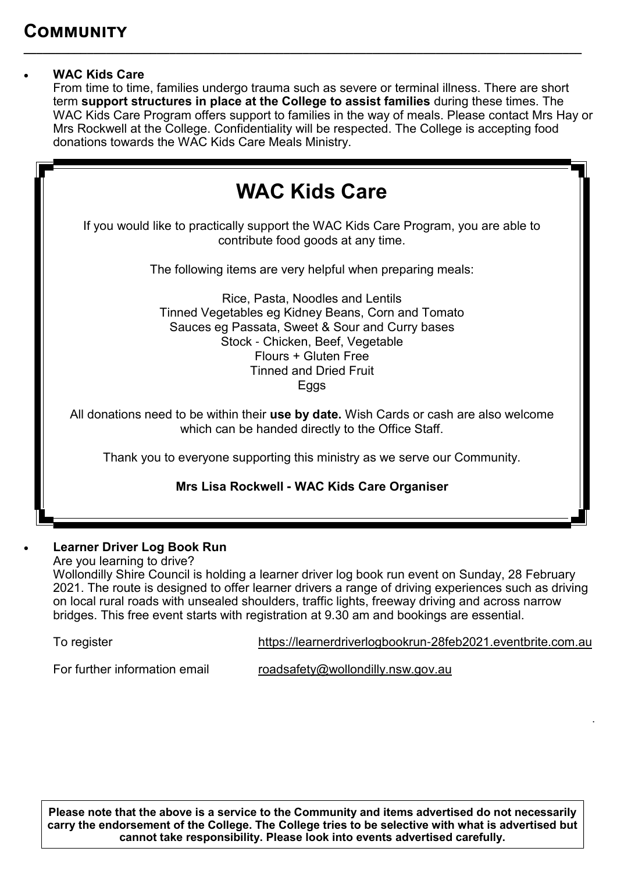#### • **WAC Kids Care**

From time to time, families undergo trauma such as severe or terminal illness. There are short term **support structures in place at the College to assist families** during these times. The WAC Kids Care Program offers support to families in the way of meals. Please contact Mrs Hay or Mrs Rockwell at the College. Confidentiality will be respected. The College is accepting food donations towards the WAC Kids Care Meals Ministry.

**\_\_\_\_\_\_\_\_\_\_\_\_\_\_\_\_\_\_\_\_\_\_\_\_\_\_\_\_\_\_\_\_\_\_\_\_\_\_\_\_\_\_\_\_\_\_\_\_\_\_\_\_\_\_\_\_\_\_\_\_\_\_\_\_\_\_\_\_\_\_\_\_\_\_\_\_\_\_\_\_\_\_\_\_\_\_\_\_**



#### • **Learner Driver Log Book Run**

Are you learning to drive? Wollondilly Shire Council is holding a learner driver log book run event on Sunday, 28 February 2021. The route is designed to offer learner drivers a range of driving experiences such as driving on local rural roads with unsealed shoulders, traffic lights, freeway driving and across narrow bridges. This free event starts with registration at 9.30 am and bookings are essential.

To register [https://learnerdriverlogbookrun](https://learnerdriverlogbookrun-28feb2021.eventbrite.com.au/)-28feb2021.eventbrite.com.au

.

For further information email [roadsafety@wollondilly.nsw.gov.au](mailto:roadsafety@wollondilly.nsw.gov.au)

**Please note that the above is a service to the Community and items advertised do not necessarily carry the endorsement of the College. The College tries to be selective with what is advertised but cannot take responsibility. Please look into events advertised carefully.**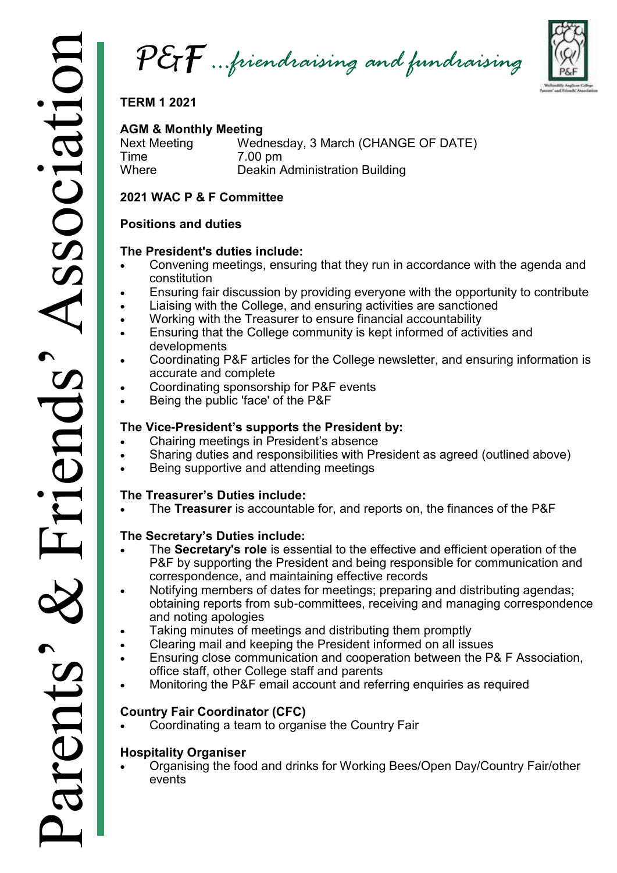*P&F …friendraising and fundraising*



**TERM 1 2021**

**AGM & Monthly Meeting**  Wednesday, 3 March (CHANGE OF DATE) Time 7.00 pm<br>Where Deakin A Deakin Administration Building

#### **2021 WAC P & F Committee**

#### **Positions and duties**

#### **The President's duties include:**

- Convening meetings, ensuring that they run in accordance with the agenda and constitution
- Ensuring fair discussion by providing everyone with the opportunity to contribute
- Liaising with the College, and ensuring activities are sanctioned
- Working with the Treasurer to ensure financial accountability
- Ensuring that the College community is kept informed of activities and developments
- Coordinating P&F articles for the College newsletter, and ensuring information is accurate and complete
- Coordinating sponsorship for P&F events
- Being the public 'face' of the P&F

#### **The Vice-President's supports the President by:**

- Chairing meetings in President's absence
- Sharing duties and responsibilities with President as agreed (outlined above)
- Being supportive and attending meetings

#### **The Treasurer's Duties include:**

• The **Treasurer** is accountable for, and reports on, the finances of the P&F

#### **The Secretary's Duties include:**

- The **Secretary's role** is essential to the effective and efficient operation of the P&F by supporting the President and being responsible for communication and correspondence, and maintaining effective records
- Notifying members of dates for meetings; preparing and distributing agendas; obtaining reports from sub-committees, receiving and managing correspondence and noting apologies
- Taking minutes of meetings and distributing them promptly
- Clearing mail and keeping the President informed on all issues
- Ensuring close communication and cooperation between the P& F Association, office staff, other College staff and parents
- Monitoring the P&F email account and referring enquiries as required

#### **Country Fair Coordinator (CFC)**

• Coordinating a team to organise the Country Fair

#### **Hospitality Organiser**

• Organising the food and drinks for Working Bees/Open Day/Country Fair/other events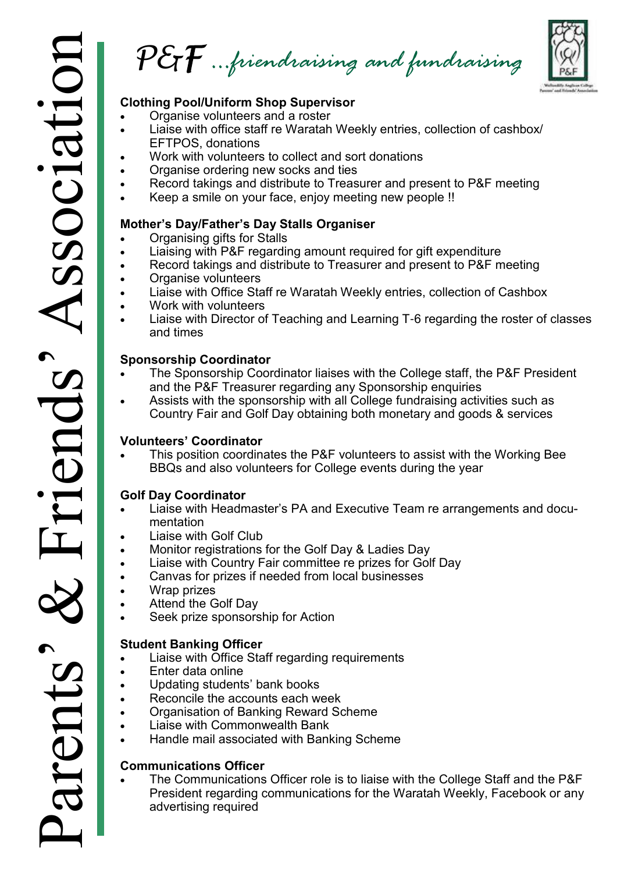*P&F …friendraising and fundraising*



#### **Clothing Pool/Uniform Shop Supervisor**

- Organise volunteers and a roster
- Liaise with office staff re Waratah Weekly entries, collection of cashbox/ EFTPOS, donations
- Work with volunteers to collect and sort donations
- Organise ordering new socks and ties
- Record takings and distribute to Treasurer and present to P&F meeting
- Keep a smile on your face, enjoy meeting new people !!

#### **Mother's Day/Father's Day Stalls Organiser**

- Organising gifts for Stalls
- Liaising with P&F regarding amount required for gift expenditure
- Record takings and distribute to Treasurer and present to P&F meeting
- Organise volunteers
- Liaise with Office Staff re Waratah Weekly entries, collection of Cashbox
- Work with volunteers
- Liaise with Director of Teaching and Learning T-6 regarding the roster of classes and times

#### **Sponsorship Coordinator**

- The Sponsorship Coordinator liaises with the College staff, the P&F President and the P&F Treasurer regarding any Sponsorship enquiries
- Assists with the sponsorship with all College fundraising activities such as Country Fair and Golf Day obtaining both monetary and goods & services

#### **Volunteers' Coordinator**

• This position coordinates the P&F volunteers to assist with the Working Bee BBQs and also volunteers for College events during the year

#### **Golf Day Coordinator**

- Liaise with Headmaster's PA and Executive Team re arrangements and documentation
- Liaise with Golf Club
- Monitor registrations for the Golf Day & Ladies Day
- Liaise with Country Fair committee re prizes for Golf Day
- Canvas for prizes if needed from local businesses
- Wrap prizes
- Attend the Golf Day
- Seek prize sponsorship for Action

#### **Student Banking Officer**

- Liaise with Office Staff regarding requirements
- Enter data online
- Updating students' bank books
- Reconcile the accounts each week
- Organisation of Banking Reward Scheme
- Liaise with Commonwealth Bank
- Handle mail associated with Banking Scheme

#### **Communications Officer**

The Communications Officer role is to liaise with the College Staff and the P&F President regarding communications for the Waratah Weekly, Facebook or any advertising required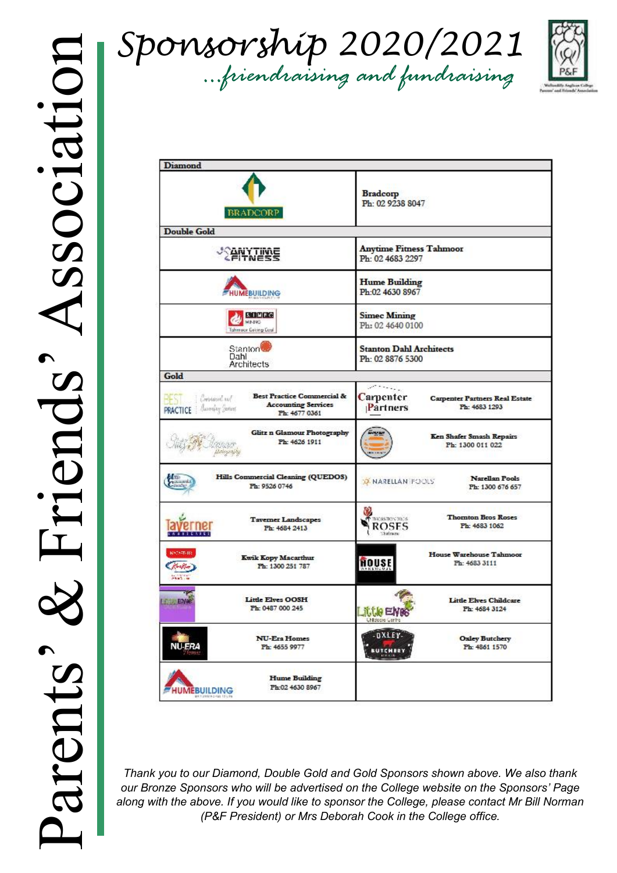*Sponsorship 2020/2021 …friendraising and fundraising*



| <b>Diamond</b>                                                                                                                                         |                                                                                                                             |
|--------------------------------------------------------------------------------------------------------------------------------------------------------|-----------------------------------------------------------------------------------------------------------------------------|
| <b>BRADCORP</b>                                                                                                                                        | <b>Bradcorp</b><br>Ph: 02 9238 8047                                                                                         |
| <b>Double Gold</b>                                                                                                                                     |                                                                                                                             |
| <b><i><u>PANYTINE</u></i></b>                                                                                                                          | <b>Anytime Fitness Tahmoor</b><br>Ph: 02 4683 2297                                                                          |
| <b>HUMEBUILDING</b>                                                                                                                                    | <b>Hume Building</b><br>Ph:02 4630 8967                                                                                     |
| <b>STIMFG</b><br>MINK<br>Tahmoor Coking Coal                                                                                                           | <b>Simec Mining</b><br>Ph: 02 4640 0100                                                                                     |
| Stanton <sup>1</sup><br>Dahl<br><b>Architects</b>                                                                                                      | <b>Stanton Dahl Architects</b><br>Ph: 02 8876 5300                                                                          |
| Gold                                                                                                                                                   |                                                                                                                             |
| <b>Best Practice Commercial &amp;</b><br>Creistaust sul<br>35 S.D<br><b>Accounting Services</b><br>lucering Janest<br><b>PRACTICE</b><br>Ph: 4677 0361 | $\mathcal{L}$ . The set of $\mathcal{L}$<br>Carpenter<br><b>Carpenter Partners Real Estate</b><br>Ph: 4683 1293<br>Partners |
| Glitz n Glamour Photography<br>Ph: 4626 1911                                                                                                           | Ken Shafer Smash Repairs<br>Ph: 1300 011 022                                                                                |
| Hills Commercial Cleaning (QUEDOS)<br>Ph: 9526 0746                                                                                                    | <b>Narellan Pools</b><br><b>X NARELLAN POOLS</b><br>Ph: 1300 676 657                                                        |
| <b>Tavemer Landscapes</b><br>Ph: 4684 2413                                                                                                             | <b>Thomton Bros Roses</b><br>THORNTON DROS<br><b>ROSES</b><br>Ph: 4683 1062<br>helmox                                       |
| <b>MATART-118</b><br><b>Kwik Kopy Macarthur</b><br>Ph: 1300 251 787<br><b>Seat Se</b>                                                                  | <b>House Warehouse Tahmoor</b><br>HOUSE<br>Ph: 4683 3111                                                                    |
| <b>Little Elves OOSH</b><br><b>LESSE ENRE</b><br>Ph: 0487 000 245                                                                                      | <b>Little Elves Childcare</b><br>Ph: 4684 3124<br>Little El<br><b>ALL ENTRY AND I</b>                                       |
| <b>NU-Era Homes</b><br><b>NU-ERA</b><br>Ph: 4655 9977                                                                                                  | -DXLEY-<br><b>Oxley Butchery</b><br>Ph: 4861 1570<br><b>BUTCHERY</b>                                                        |
| <b>Hume Building</b><br>Ph:02 4630 8967<br><b>HUMEBUILDING</b>                                                                                         |                                                                                                                             |

*Thank you to our Diamond, Double Gold and Gold Sponsors shown above. We also thank our Bronze Sponsors who will be advertised on the College website on the Sponsors' Page along with the above. If you would like to sponsor the College, please contact Mr Bill Norman (P&F President) or Mrs Deborah Cook in the College office.*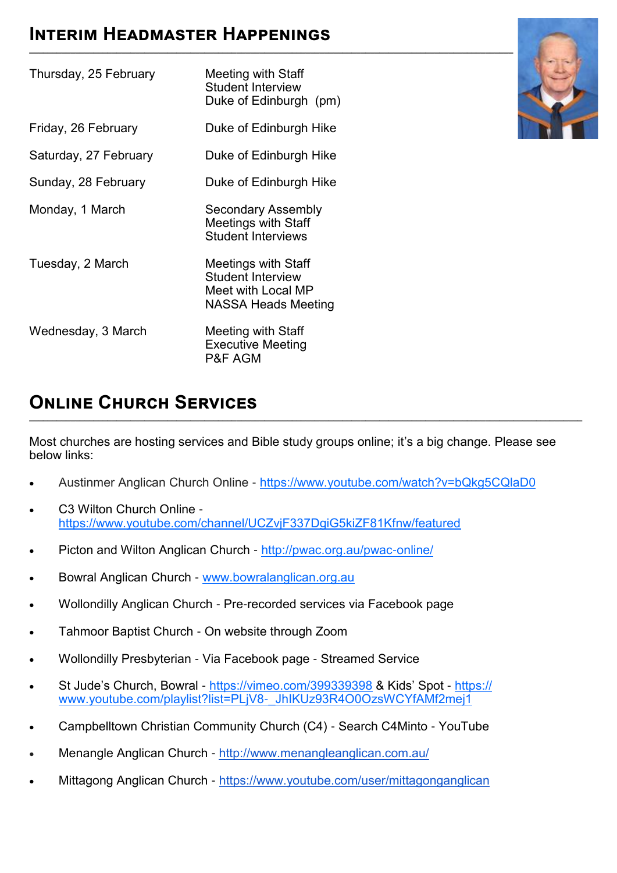### **Interim Headmaster Happenings**

| Thursday, 25 February | Meeting with Staff<br><b>Student Interview</b><br>Duke of Edinburgh (pm)                            |
|-----------------------|-----------------------------------------------------------------------------------------------------|
| Friday, 26 February   | Duke of Edinburgh Hike                                                                              |
| Saturday, 27 February | Duke of Edinburgh Hike                                                                              |
| Sunday, 28 February   | Duke of Edinburgh Hike                                                                              |
| Monday, 1 March       | <b>Secondary Assembly</b><br><b>Meetings with Staff</b><br><b>Student Interviews</b>                |
| Tuesday, 2 March      | Meetings with Staff<br><b>Student Interview</b><br>Meet with Local MP<br><b>NASSA Heads Meeting</b> |
| Wednesday, 3 March    | Meeting with Staff<br><b>Executive Meeting</b><br><b>P&amp;F AGM</b>                                |



### **Online Church Services**

Most churches are hosting services and Bible study groups online; it's a big change. Please see below links:

**\_\_\_\_\_\_\_\_\_\_\_\_\_\_\_\_\_\_\_\_\_\_\_\_\_\_\_\_\_\_\_\_\_\_\_\_\_\_\_\_\_\_\_\_\_\_\_\_\_\_\_\_\_\_\_\_\_\_\_\_\_\_\_\_\_\_\_\_\_\_\_\_\_\_\_\_\_\_\_\_\_\_\_\_\_\_\_\_\_\_\_\_\_\_\_\_\_\_\_\_\_\_\_\_\_\_\_\_\_\_\_\_\_\_\_\_\_\_\_\_**

- Austinmer Anglican Church Online <https://www.youtube.com/watch?v=bQkg5CQlaD0>
- C3 Wilton Church Online <https://www.youtube.com/channel/UCZvjF337DgiG5kiZF81Kfnw/featured>
- Picton and Wilton Anglican Church [http://pwac.org.au/pwac](http://pwac.org.au/pwac-online/)-online/
- Bowral Anglican Church [www.bowralanglican.org.au](http://www.bowralanglican.org.au/)
- Wollondilly Anglican Church Pre-recorded services via Facebook page
- Tahmoor Baptist Church On website through Zoom
- Wollondilly Presbyterian Via Facebook page Streamed Service
- St Jude's Church, Bowral <https://vimeo.com/399339398> & Kids' Spot [https://](https://www.youtube.com/playlist?list=PLjV8-_JhIKUz93R4O0OzsWCYfAMf2mej1) [www.youtube.com/playlist?list=PLjV8](https://www.youtube.com/playlist?list=PLjV8-_JhIKUz93R4O0OzsWCYfAMf2mej1)-\_JhIKUz93R4O0OzsWCYfAMf2mej1
- Campbelltown Christian Community Church (C4) Search C4Minto YouTube
- Menangle Anglican Church <http://www.menangleanglican.com.au/>
- Mittagong Anglican Church <https://www.youtube.com/user/mittagonganglican>